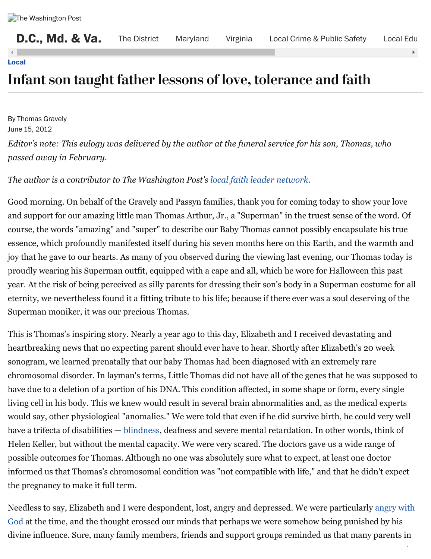/

## **[Local](https://www.washingtonpost.com/local)**

## Infant son taught father lessons of love, tolerance and faith

By Thomas Gravely June 15, 2012

*Editor's note: This eulogy was delivered by the author at the funeral service for his son, Thomas, who passed away in February.*

*The author is a contributor to The Washington Post's [local faith leader network](http://www.washingtonpost.com/2010/07/08/gIQAyIUWFJ_page.html).* 

Good morning. On behalf of the Gravely and Passyn families, thank you for coming today to show your love and support for our amazing little man Thomas Arthur, Jr., a "Superman" in the truest sense of the word. Of course, the words "amazing" and "super" to describe our Baby Thomas cannot possibly encapsulate his true essence, which profoundly manifested itself during his seven months here on this Earth, and the warmth and joy that he gave to our hearts. As many of you observed during the viewing last evening, our Thomas today is proudly wearing his Superman outfit, equipped with a cape and all, which he wore for Halloween this past year. At the risk of being perceived as silly parents for dressing their son's body in a Superman costume for all eternity, we nevertheless found it a fitting tribute to his life; because if there ever was a soul deserving of the Superman moniker, it was our precious Thomas.

This is Thomas's inspiring story. Nearly a year ago to this day, Elizabeth and I received devastating and heartbreaking news that no expecting parent should ever have to hear. Shortly after Elizabeth's 20 week sonogram, we learned prenatally that our baby Thomas had been diagnosed with an extremely rare chromosomal disorder. In layman's terms, Little Thomas did not have all of the genes that he was supposed to have due to a deletion of a portion of his DNA. This condition affected, in some shape or form, every single living cell in his body. This we knew would result in several brain abnormalities and, as the medical experts would say, other physiological "anomalies." We were told that even if he did survive birth, he could very well have a trifecta of disabilities — [blindness](http://www.washingtonpost.com/national/haboobs-will-blind-you--they-will-take-you-by-surprise--in-doubt-dont-go-out/2012/06/13/gJQA5PFnaV_story.html), deafness and severe mental retardation. In other words, think of Helen Keller, but without the mental capacity. We were very scared. The doctors gave us a wide range of possible outcomes for Thomas. Although no one was absolutely sure what to expect, at least one doctor informed us that Thomas's chromosomal condition was "not compatible with life," and that he didn't expect the pregnancy to make it full term.

[Needless to say, Elizabeth and I were despondent, lost, angry and depressed. We were particularly angry with](http://www.businessweek.com/lifestyle/content/healthday/647935.html) God at the time, and the thought crossed our minds that perhaps we were somehow being punished by his divine influence. Sure, many family members, friends and support groups reminded us that many parents in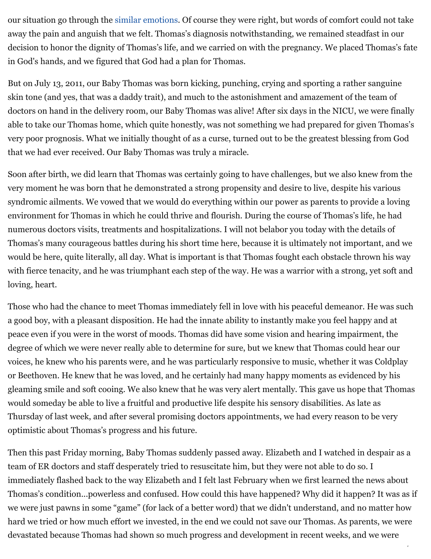our situation go through the [similar emotions](http://onfaith.washingtonpost.com/onfaith/brad_hirschfield/2011/01/getting_angry_at_god.html). Of course they were right, but words of comfort could not take away the pain and anguish that we felt. Thomas's diagnosis notwithstanding, we remained steadfast in our decision to honor the dignity of Thomas's life, and we carried on with the pregnancy. We placed Thomas's fate in God's hands, and we figured that God had a plan for Thomas.

But on July 13, 2011, our Baby Thomas was born kicking, punching, crying and sporting a rather sanguine skin tone (and yes, that was a daddy trait), and much to the astonishment and amazement of the team of doctors on hand in the delivery room, our Baby Thomas was alive! After six days in the NICU, we were finally able to take our Thomas home, which quite honestly, was not something we had prepared for given Thomas's very poor prognosis. What we initially thought of as a curse, turned out to be the greatest blessing from God that we had ever received. Our Baby Thomas was truly a miracle.

Soon after birth, we did learn that Thomas was certainly going to have challenges, but we also knew from the very moment he was born that he demonstrated a strong propensity and desire to live, despite his various syndromic ailments. We vowed that we would do everything within our power as parents to provide a loving environment for Thomas in which he could thrive and flourish. During the course of Thomas's life, he had numerous doctors visits, treatments and hospitalizations. I will not belabor you today with the details of Thomas's many courageous battles during his short time here, because it is ultimately not important, and we would be here, quite literally, all day. What is important is that Thomas fought each obstacle thrown his way with fierce tenacity, and he was triumphant each step of the way. He was a warrior with a strong, yet soft and loving, heart.

Those who had the chance to meet Thomas immediately fell in love with his peaceful demeanor. He was such a good boy, with a pleasant disposition. He had the innate ability to instantly make you feel happy and at peace even if you were in the worst of moods. Thomas did have some vision and hearing impairment, the degree of which we were never really able to determine for sure, but we knew that Thomas could hear our voices, he knew who his parents were, and he was particularly responsive to music, whether it was Coldplay or Beethoven. He knew that he was loved, and he certainly had many happy moments as evidenced by his gleaming smile and soft cooing. We also knew that he was very alert mentally. This gave us hope that Thomas would someday be able to live a fruitful and productive life despite his sensory disabilities. As late as Thursday of last week, and after several promising doctors appointments, we had every reason to be very optimistic about Thomas's progress and his future.

Then this past Friday morning, Baby Thomas suddenly passed away. Elizabeth and I watched in despair as a team of ER doctors and staff desperately tried to resuscitate him, but they were not able to do so. I immediately flashed back to the way Elizabeth and I felt last February when we first learned the news about Thomas's condition...powerless and confused. How could this have happened? Why did it happen? It was as if we were just pawns in some "game" (for lack of a better word) that we didn't understand, and no matter how hard we tried or how much effort we invested, in the end we could not save our Thomas. As parents, we were devastated because Thomas had shown so much progress and development in recent weeks, and we were

/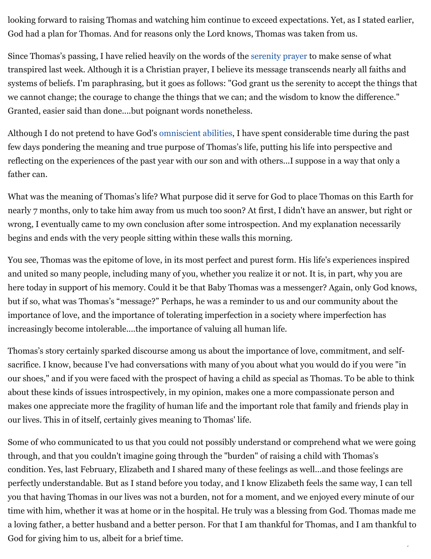looking forward to raising Thomas and watching him continue to exceed expectations. Yet, as I stated earlier, God had a plan for Thomas. And for reasons only the Lord knows, Thomas was taken from us.

Since Thomas's passing, I have relied heavily on the words of the [serenity prayer](http://www.cptryon.org/prayer/special/serenity.html) to make sense of what transpired last week. Although it is a Christian prayer, I believe its message transcends nearly all faiths and systems of beliefs. I'm paraphrasing, but it goes as follows: "God grant us the serenity to accept the things that we cannot change; the courage to change the things that we can; and the wisdom to know the difference." Granted, easier said than done....but poignant words nonetheless.

Although I do not pretend to have God's [omniscient abilities](http://onfaith.washingtonpost.com/onfaith/panelists/susan_brooks_thistlethwaite/2011/03/does_nuclear_power_usurp_the_power_of_god.html), I have spent considerable time during the past few days pondering the meaning and true purpose of Thomas's life, putting his life into perspective and reflecting on the experiences of the past year with our son and with others...I suppose in a way that only a father can.

What was the meaning of Thomas's life? What purpose did it serve for God to place Thomas on this Earth for nearly 7 months, only to take him away from us much too soon? At first, I didn't have an answer, but right or wrong, I eventually came to my own conclusion after some introspection. And my explanation necessarily begins and ends with the very people sitting within these walls this morning.

You see, Thomas was the epitome of love, in its most perfect and purest form. His life's experiences inspired and united so many people, including many of you, whether you realize it or not. It is, in part, why you are here today in support of his memory. Could it be that Baby Thomas was a messenger? Again, only God knows, but if so, what was Thomas's "message?" Perhaps, he was a reminder to us and our community about the importance of love, and the importance of tolerating imperfection in a society where imperfection has increasingly become intolerable....the importance of valuing all human life.

Thomas's story certainly sparked discourse among us about the importance of love, commitment, and selfsacrifice. I know, because I've had conversations with many of you about what you would do if you were "in our shoes," and if you were faced with the prospect of having a child as special as Thomas. To be able to think about these kinds of issues introspectively, in my opinion, makes one a more compassionate person and makes one appreciate more the fragility of human life and the important role that family and friends play in our lives. This in of itself, certainly gives meaning to Thomas' life.

/ Some of who communicated to us that you could not possibly understand or comprehend what we were going through, and that you couldn't imagine going through the "burden" of raising a child with Thomas's condition. Yes, last February, Elizabeth and I shared many of these feelings as well...and those feelings are perfectly understandable. But as I stand before you today, and I know Elizabeth feels the same way, I can tell you that having Thomas in our lives was not a burden, not for a moment, and we enjoyed every minute of our time with him, whether it was at home or in the hospital. He truly was a blessing from God. Thomas made me a loving father, a better husband and a better person. For that I am thankful for Thomas, and I am thankful to God for giving him to us, albeit for a brief time.